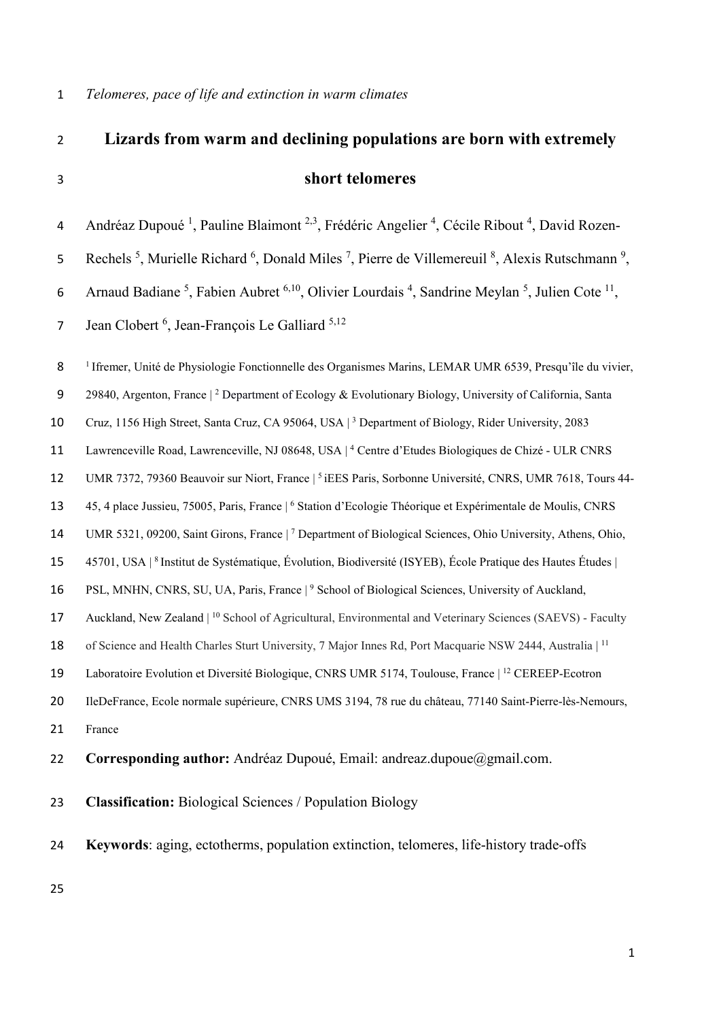# 2 **Lizards from warm and declining populations are born with extremely**  3 **short telomeres** 4 Andréaz Dupoué<sup>1</sup>, Pauline Blaimont<sup>2,3</sup>, Frédéric Angelier<sup>4</sup>, Cécile Ribout<sup>4</sup>, David Rozen-5 Rechels<sup>5</sup>, Murielle Richard<sup>6</sup>, Donald Miles<sup>7</sup>, Pierre de Villemereuil<sup>8</sup>, Alexis Rutschmann<sup>9</sup>, 6 Arnaud Badiane<sup>5</sup>, Fabien Aubret<sup>6,10</sup>, Olivier Lourdais<sup>4</sup>, Sandrine Meylan<sup>5</sup>, Julien Cote<sup>11</sup>, 7 Jean Clobert<sup>6</sup>, Jean-François Le Galliard<sup>5,12</sup> 8 <sup>1</sup> Ifremer, Unité de Physiologie Fonctionnelle des Organismes Marins, LEMAR UMR 6539, Presqu'île du vivier, 29840, Argenton, France | <sup>2</sup> Department of Ecology & Evolutionary Biology, University of California, Santa 10 Cruz, 1156 High Street, Santa Cruz, CA 95064, USA |<sup>3</sup> Department of Biology, Rider University, 2083 11 Lawrenceville Road, Lawrenceville, NJ 08648, USA | <sup>4</sup> Centre d'Etudes Biologiques de Chizé - ULR CNRS 12 UMR 7372, 79360 Beauvoir sur Niort, France | <sup>5</sup> iEES Paris, Sorbonne Université, CNRS, UMR 7618, Tours 44-13 45, 4 place Jussieu, 75005, Paris, France | <sup>6</sup> Station d'Ecologie Théorique et Expérimentale de Moulis, CNRS 14 UMR 5321, 09200, Saint Girons, France | 7 Department of Biological Sciences, Ohio University, Athens, Ohio, 45701, USA | 8 15 Institut de Systématique, Évolution, Biodiversité (ISYEB), École Pratique des Hautes Études | 16 PSL, MNHN, CNRS, SU, UA, Paris, France | 9 School of Biological Sciences, University of Auckland, 17 Auckland, New Zealand | <sup>10</sup> School of Agricultural, Environmental and Veterinary Sciences (SAEVS) - Faculty of Science and Health Charles Sturt University, 7 Major Innes Rd, Port Macquarie NSW 2444, Australia | 11 18 19 Laboratoire Evolution et Diversité Biologique, CNRS UMR 5174, Toulouse, France | <sup>12</sup> CEREEP-Ecotron 20 IleDeFrance, Ecole normale supérieure, CNRS UMS 3194, 78 rue du château, 77140 Saint-Pierre-lès-Nemours, 21 France 22 **Corresponding author:** Andréaz Dupoué, Email: andreaz.dupoue@gmail.com. 23 **Classification:** Biological Sciences / Population Biology 24 **Keywords**: aging, ectotherms, population extinction, telomeres, life-history trade-offs 25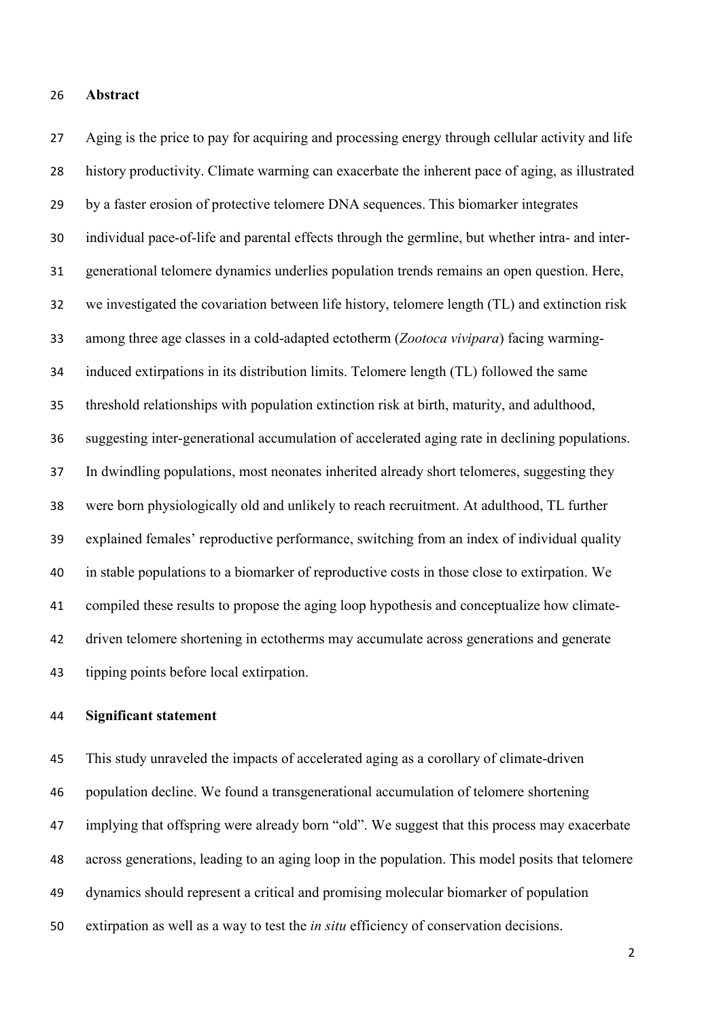#### **Abstract**

 Aging is the price to pay for acquiring and processing energy through cellular activity and life history productivity. Climate warming can exacerbate the inherent pace of aging, as illustrated by a faster erosion of protective telomere DNA sequences. This biomarker integrates individual pace-of-life and parental effects through the germline, but whether intra- and inter- generational telomere dynamics underlies population trends remains an open question. Here, we investigated the covariation between life history, telomere length (TL) and extinction risk among three age classes in a cold-adapted ectotherm (*Zootoca vivipara*) facing warming- induced extirpations in its distribution limits. Telomere length (TL) followed the same threshold relationships with population extinction risk at birth, maturity, and adulthood, suggesting inter-generational accumulation of accelerated aging rate in declining populations. In dwindling populations, most neonates inherited already short telomeres, suggesting they were born physiologically old and unlikely to reach recruitment. At adulthood, TL further explained females' reproductive performance, switching from an index of individual quality in stable populations to a biomarker of reproductive costs in those close to extirpation. We compiled these results to propose the aging loop hypothesis and conceptualize how climate- driven telomere shortening in ectotherms may accumulate across generations and generate tipping points before local extirpation.

## **Significant statement**

 This study unraveled the impacts of accelerated aging as a corollary of climate-driven population decline. We found a transgenerational accumulation of telomere shortening implying that offspring were already born "old". We suggest that this process may exacerbate across generations, leading to an aging loop in the population. This model posits that telomere dynamics should represent a critical and promising molecular biomarker of population extirpation as well as a way to test the *in situ* efficiency of conservation decisions.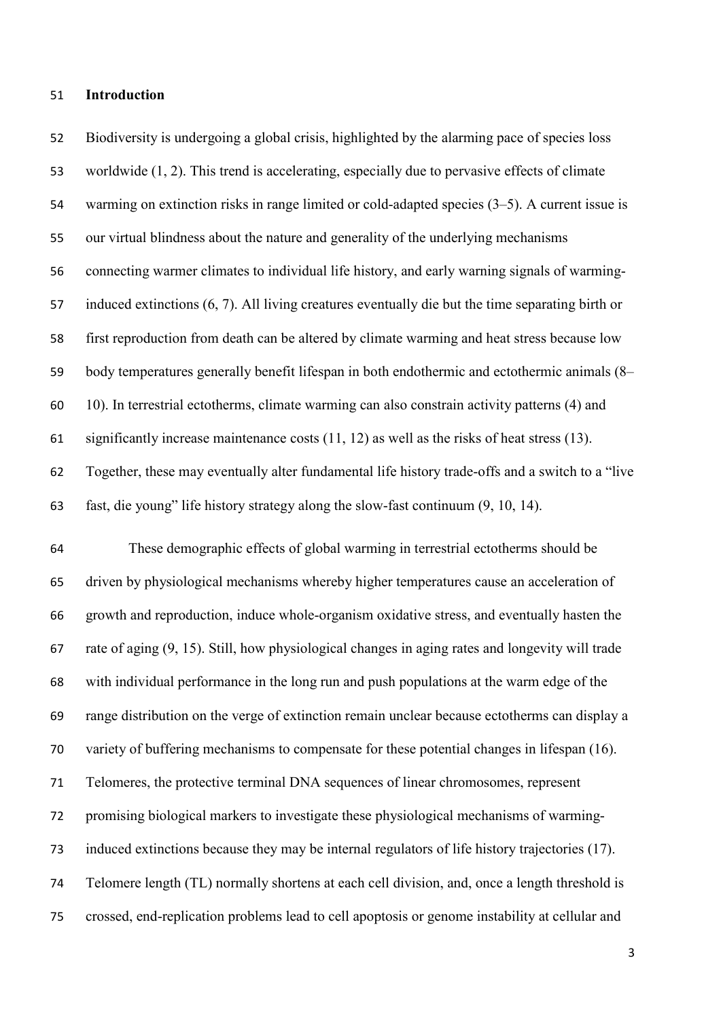#### **Introduction**

 worldwide (1, 2). This trend is accelerating, especially due to pervasive effects of climate warming on extinction risks in range limited or cold-adapted species (3–5). A current issue is our virtual blindness about the nature and generality of the underlying mechanisms connecting warmer climates to individual life history, and early warning signals of warming- induced extinctions (6, 7). All living creatures eventually die but the time separating birth or first reproduction from death can be altered by climate warming and heat stress because low body temperatures generally benefit lifespan in both endothermic and ectothermic animals (8– 10). In terrestrial ectotherms, climate warming can also constrain activity patterns (4) and 61 significantly increase maintenance costs  $(11, 12)$  as well as the risks of heat stress  $(13)$ . Together, these may eventually alter fundamental life history trade-offs and a switch to a "live fast, die young" life history strategy along the slow-fast continuum (9, 10, 14).

Biodiversity is undergoing a global crisis, highlighted by the alarming pace of species loss

 These demographic effects of global warming in terrestrial ectotherms should be driven by physiological mechanisms whereby higher temperatures cause an acceleration of growth and reproduction, induce whole-organism oxidative stress, and eventually hasten the rate of aging (9, 15). Still, how physiological changes in aging rates and longevity will trade with individual performance in the long run and push populations at the warm edge of the range distribution on the verge of extinction remain unclear because ectotherms can display a variety of buffering mechanisms to compensate for these potential changes in lifespan (16). Telomeres, the protective terminal DNA sequences of linear chromosomes, represent promising biological markers to investigate these physiological mechanisms of warming- induced extinctions because they may be internal regulators of life history trajectories (17). Telomere length (TL) normally shortens at each cell division, and, once a length threshold is crossed, end-replication problems lead to cell apoptosis or genome instability at cellular and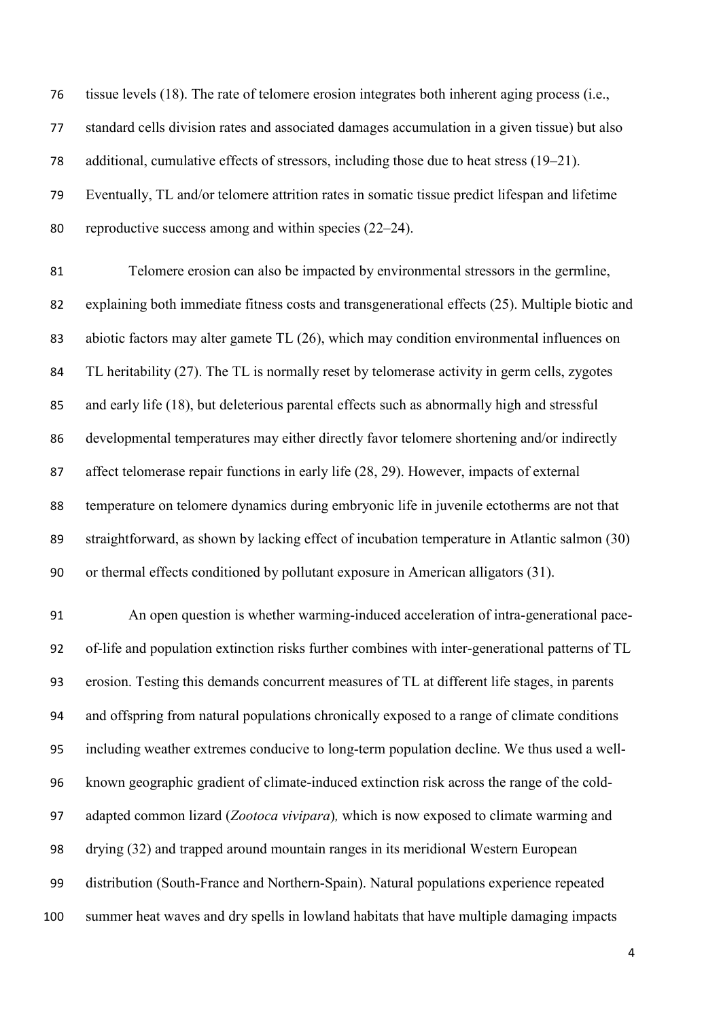tissue levels (18). The rate of telomere erosion integrates both inherent aging process (i.e., standard cells division rates and associated damages accumulation in a given tissue) but also additional, cumulative effects of stressors, including those due to heat stress (19–21). Eventually, TL and/or telomere attrition rates in somatic tissue predict lifespan and lifetime reproductive success among and within species (22–24).

 Telomere erosion can also be impacted by environmental stressors in the germline, explaining both immediate fitness costs and transgenerational effects (25). Multiple biotic and abiotic factors may alter gamete TL (26), which may condition environmental influences on 84 TL heritability (27). The TL is normally reset by telomerase activity in germ cells, zygotes and early life (18), but deleterious parental effects such as abnormally high and stressful developmental temperatures may either directly favor telomere shortening and/or indirectly affect telomerase repair functions in early life (28, 29). However, impacts of external temperature on telomere dynamics during embryonic life in juvenile ectotherms are not that straightforward, as shown by lacking effect of incubation temperature in Atlantic salmon (30) or thermal effects conditioned by pollutant exposure in American alligators (31).

 An open question is whether warming-induced acceleration of intra-generational pace- of-life and population extinction risks further combines with inter-generational patterns of TL erosion. Testing this demands concurrent measures of TL at different life stages, in parents and offspring from natural populations chronically exposed to a range of climate conditions including weather extremes conducive to long-term population decline. We thus used a well- known geographic gradient of climate-induced extinction risk across the range of the cold- adapted common lizard (*Zootoca vivipara*)*,* which is now exposed to climate warming and drying (32) and trapped around mountain ranges in its meridional Western European distribution (South-France and Northern-Spain). Natural populations experience repeated summer heat waves and dry spells in lowland habitats that have multiple damaging impacts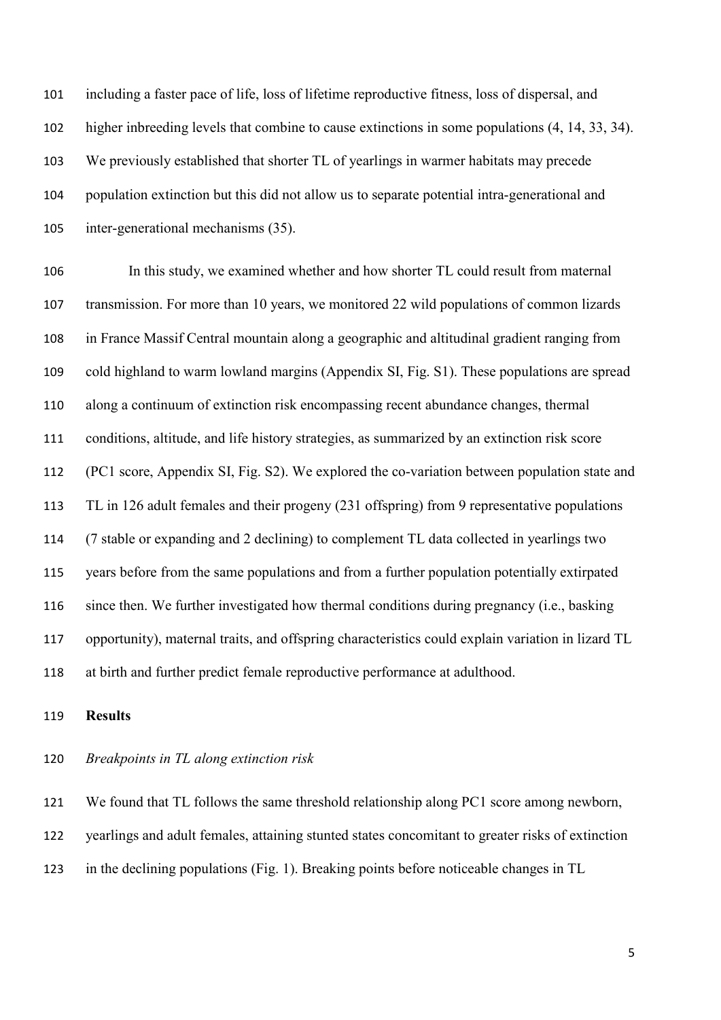including a faster pace of life, loss of lifetime reproductive fitness, loss of dispersal, and higher inbreeding levels that combine to cause extinctions in some populations (4, 14, 33, 34). We previously established that shorter TL of yearlings in warmer habitats may precede population extinction but this did not allow us to separate potential intra-generational and inter-generational mechanisms (35).

 In this study, we examined whether and how shorter TL could result from maternal transmission. For more than 10 years, we monitored 22 wild populations of common lizards in France Massif Central mountain along a geographic and altitudinal gradient ranging from cold highland to warm lowland margins (Appendix SI, Fig. S1). These populations are spread along a continuum of extinction risk encompassing recent abundance changes, thermal conditions, altitude, and life history strategies, as summarized by an extinction risk score (PC1 score, Appendix SI, Fig. S2). We explored the co-variation between population state and TL in 126 adult females and their progeny (231 offspring) from 9 representative populations (7 stable or expanding and 2 declining) to complement TL data collected in yearlings two years before from the same populations and from a further population potentially extirpated since then. We further investigated how thermal conditions during pregnancy (i.e., basking opportunity), maternal traits, and offspring characteristics could explain variation in lizard TL at birth and further predict female reproductive performance at adulthood.

**Results**

## *Breakpoints in TL along extinction risk*

We found that TL follows the same threshold relationship along PC1 score among newborn,

yearlings and adult females, attaining stunted states concomitant to greater risks of extinction

in the declining populations (Fig. 1). Breaking points before noticeable changes in TL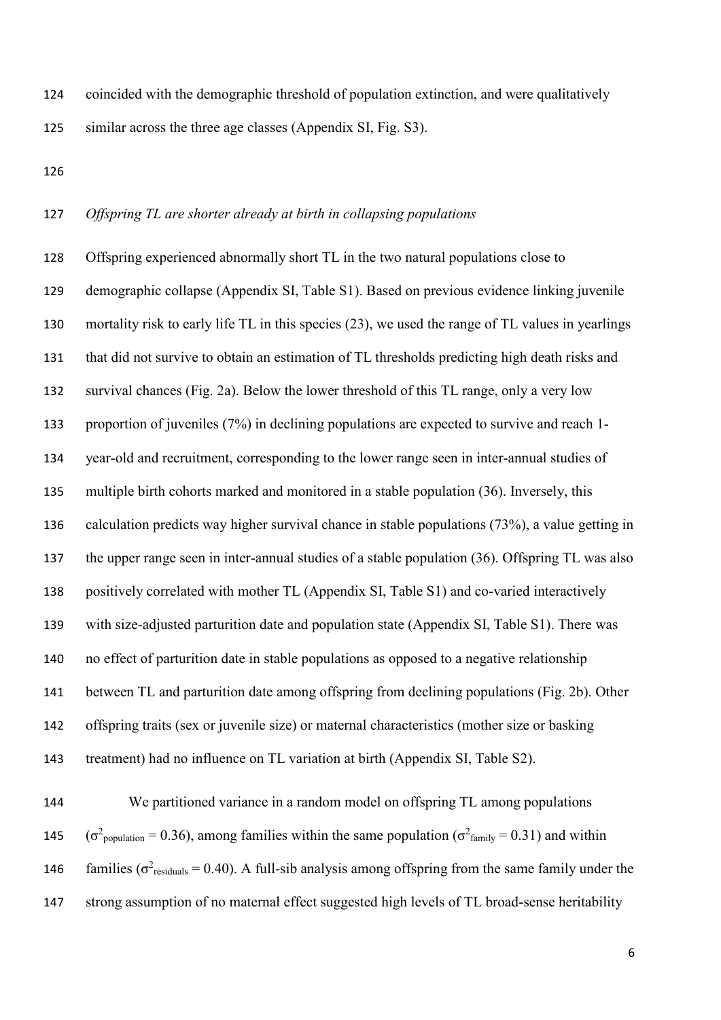coincided with the demographic threshold of population extinction, and were qualitatively similar across the three age classes (Appendix SI, Fig. S3).

## *Offspring TL are shorter already at birth in collapsing populations*

 Offspring experienced abnormally short TL in the two natural populations close to demographic collapse (Appendix SI, Table S1). Based on previous evidence linking juvenile mortality risk to early life TL in this species (23), we used the range of TL values in yearlings that did not survive to obtain an estimation of TL thresholds predicting high death risks and survival chances (Fig. 2a). Below the lower threshold of this TL range, only a very low proportion of juveniles (7%) in declining populations are expected to survive and reach 1- year-old and recruitment, corresponding to the lower range seen in inter-annual studies of multiple birth cohorts marked and monitored in a stable population (36). Inversely, this calculation predicts way higher survival chance in stable populations (73%), a value getting in the upper range seen in inter-annual studies of a stable population (36). Offspring TL was also positively correlated with mother TL (Appendix SI, Table S1) and co-varied interactively with size-adjusted parturition date and population state (Appendix SI, Table S1). There was no effect of parturition date in stable populations as opposed to a negative relationship between TL and parturition date among offspring from declining populations (Fig. 2b). Other offspring traits (sex or juvenile size) or maternal characteristics (mother size or basking treatment) had no influence on TL variation at birth (Appendix SI, Table S2).

 We partitioned variance in a random model on offspring TL among populations  $(\sigma^2_{\text{population}} = 0.36)$ , among families within the same population  $(\sigma^2_{\text{family}} = 0.31)$  and within 146 families ( $\sigma^2$ <sub>residuals</sub> = 0.40). A full-sib analysis among offspring from the same family under the strong assumption of no maternal effect suggested high levels of TL broad-sense heritability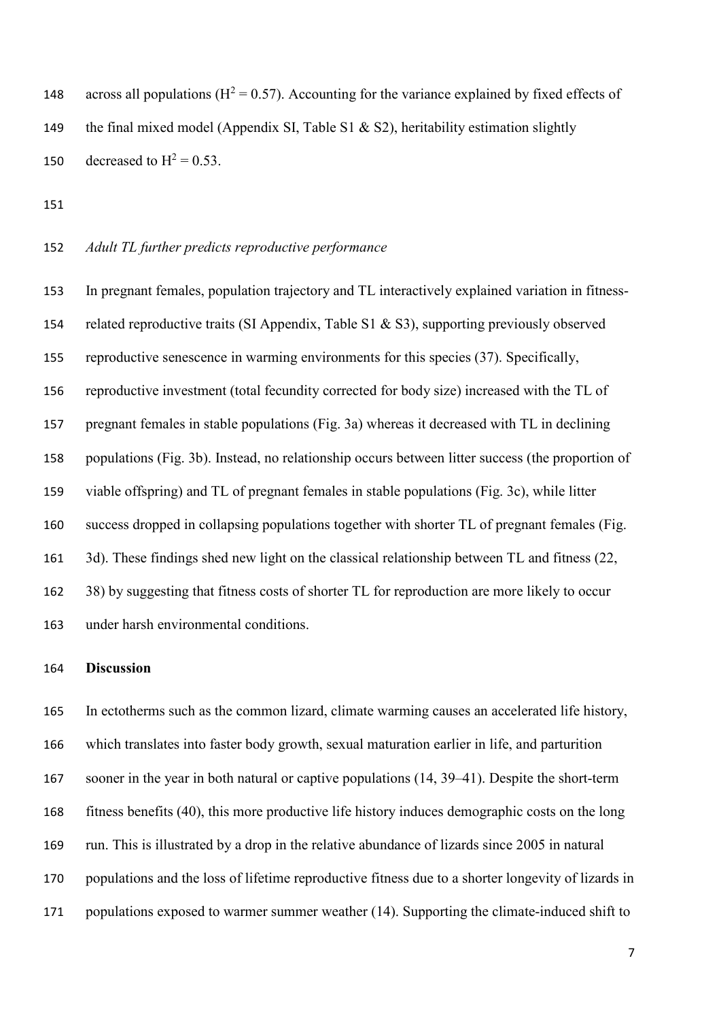148 across all populations ( $H^2 = 0.57$ ). Accounting for the variance explained by fixed effects of 149 the final mixed model (Appendix SI, Table S1 & S2), heritability estimation slightly 150 decreased to  $H^2 = 0.53$ .

# *Adult TL further predicts reproductive performance*

 In pregnant females, population trajectory and TL interactively explained variation in fitness- related reproductive traits (SI Appendix, Table S1 & S3), supporting previously observed reproductive senescence in warming environments for this species (37). Specifically, reproductive investment (total fecundity corrected for body size) increased with the TL of pregnant females in stable populations (Fig. 3a) whereas it decreased with TL in declining populations (Fig. 3b). Instead, no relationship occurs between litter success (the proportion of viable offspring) and TL of pregnant females in stable populations (Fig. 3c), while litter success dropped in collapsing populations together with shorter TL of pregnant females (Fig. 3d). These findings shed new light on the classical relationship between TL and fitness (22, 38) by suggesting that fitness costs of shorter TL for reproduction are more likely to occur under harsh environmental conditions.

## **Discussion**

 In ectotherms such as the common lizard, climate warming causes an accelerated life history, which translates into faster body growth, sexual maturation earlier in life, and parturition sooner in the year in both natural or captive populations (14, 39–41). Despite the short-term fitness benefits (40), this more productive life history induces demographic costs on the long run. This is illustrated by a drop in the relative abundance of lizards since 2005 in natural populations and the loss of lifetime reproductive fitness due to a shorter longevity of lizards in populations exposed to warmer summer weather (14). Supporting the climate-induced shift to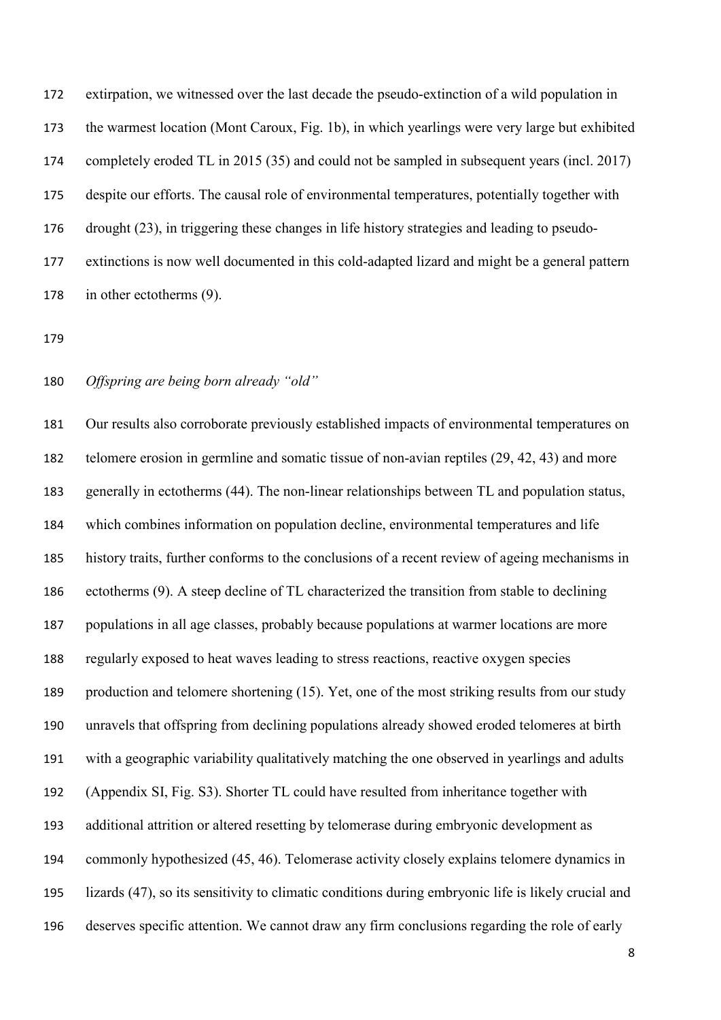extirpation, we witnessed over the last decade the pseudo-extinction of a wild population in the warmest location (Mont Caroux, Fig. 1b), in which yearlings were very large but exhibited completely eroded TL in 2015 (35) and could not be sampled in subsequent years (incl. 2017) despite our efforts. The causal role of environmental temperatures, potentially together with drought (23), in triggering these changes in life history strategies and leading to pseudo- extinctions is now well documented in this cold-adapted lizard and might be a general pattern in other ectotherms (9).

*Offspring are being born already "old"*

 Our results also corroborate previously established impacts of environmental temperatures on telomere erosion in germline and somatic tissue of non-avian reptiles (29, 42, 43) and more generally in ectotherms (44). The non-linear relationships between TL and population status, which combines information on population decline, environmental temperatures and life history traits, further conforms to the conclusions of a recent review of ageing mechanisms in ectotherms (9). A steep decline of TL characterized the transition from stable to declining populations in all age classes, probably because populations at warmer locations are more regularly exposed to heat waves leading to stress reactions, reactive oxygen species production and telomere shortening (15). Yet, one of the most striking results from our study unravels that offspring from declining populations already showed eroded telomeres at birth with a geographic variability qualitatively matching the one observed in yearlings and adults (Appendix SI, Fig. S3). Shorter TL could have resulted from inheritance together with additional attrition or altered resetting by telomerase during embryonic development as commonly hypothesized (45, 46). Telomerase activity closely explains telomere dynamics in lizards (47), so its sensitivity to climatic conditions during embryonic life is likely crucial and deserves specific attention. We cannot draw any firm conclusions regarding the role of early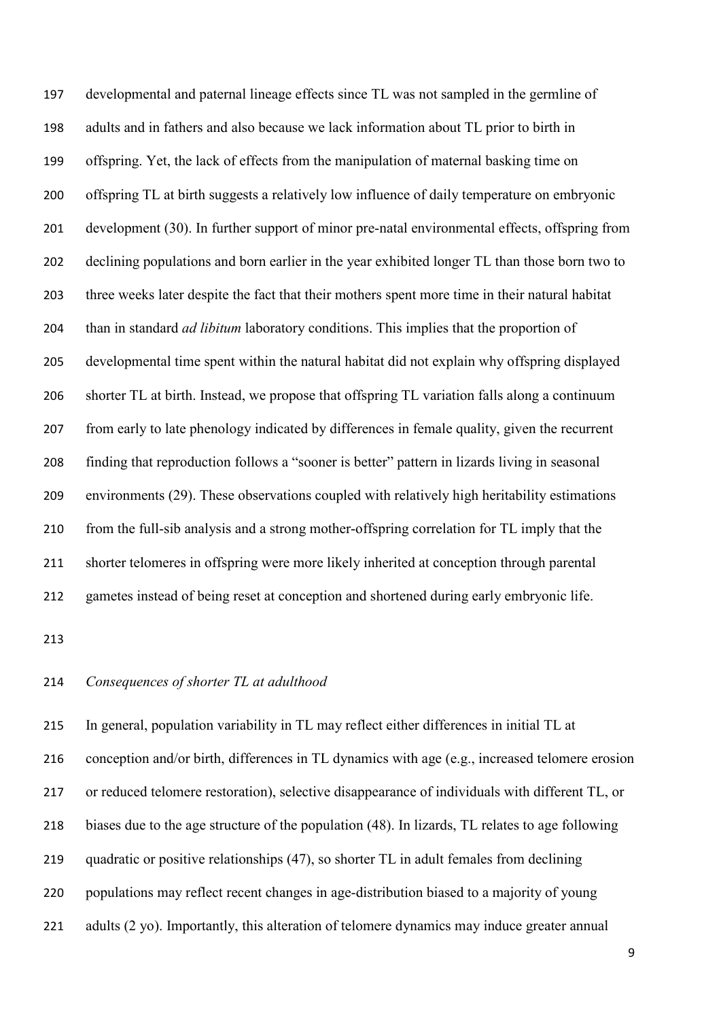developmental and paternal lineage effects since TL was not sampled in the germline of adults and in fathers and also because we lack information about TL prior to birth in offspring. Yet, the lack of effects from the manipulation of maternal basking time on offspring TL at birth suggests a relatively low influence of daily temperature on embryonic development (30). In further support of minor pre-natal environmental effects, offspring from declining populations and born earlier in the year exhibited longer TL than those born two to three weeks later despite the fact that their mothers spent more time in their natural habitat than in standard *ad libitum* laboratory conditions. This implies that the proportion of developmental time spent within the natural habitat did not explain why offspring displayed shorter TL at birth. Instead, we propose that offspring TL variation falls along a continuum from early to late phenology indicated by differences in female quality, given the recurrent finding that reproduction follows a "sooner is better" pattern in lizards living in seasonal environments (29). These observations coupled with relatively high heritability estimations from the full-sib analysis and a strong mother-offspring correlation for TL imply that the shorter telomeres in offspring were more likely inherited at conception through parental gametes instead of being reset at conception and shortened during early embryonic life.

# *Consequences of shorter TL at adulthood*

 In general, population variability in TL may reflect either differences in initial TL at conception and/or birth, differences in TL dynamics with age (e.g., increased telomere erosion or reduced telomere restoration), selective disappearance of individuals with different TL, or biases due to the age structure of the population (48). In lizards, TL relates to age following quadratic or positive relationships (47), so shorter TL in adult females from declining populations may reflect recent changes in age-distribution biased to a majority of young adults (2 yo). Importantly, this alteration of telomere dynamics may induce greater annual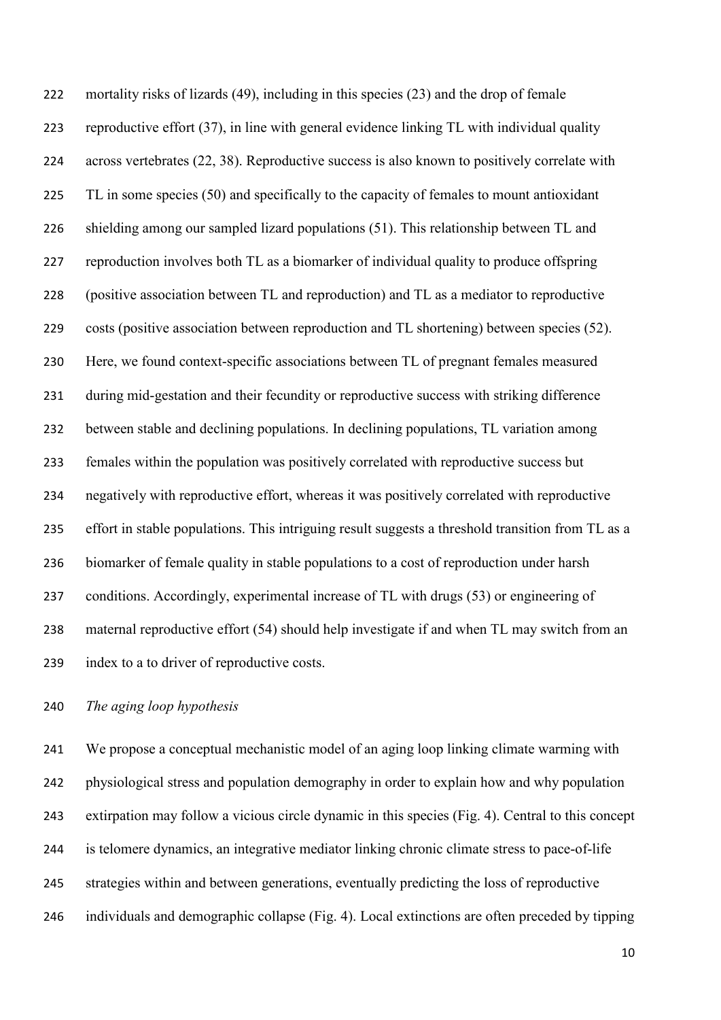mortality risks of lizards (49), including in this species (23) and the drop of female reproductive effort (37), in line with general evidence linking TL with individual quality across vertebrates (22, 38). Reproductive success is also known to positively correlate with 225 TL in some species (50) and specifically to the capacity of females to mount antioxidant shielding among our sampled lizard populations (51). This relationship between TL and reproduction involves both TL as a biomarker of individual quality to produce offspring (positive association between TL and reproduction) and TL as a mediator to reproductive costs (positive association between reproduction and TL shortening) between species (52). Here, we found context-specific associations between TL of pregnant females measured during mid-gestation and their fecundity or reproductive success with striking difference between stable and declining populations. In declining populations, TL variation among females within the population was positively correlated with reproductive success but negatively with reproductive effort, whereas it was positively correlated with reproductive effort in stable populations. This intriguing result suggests a threshold transition from TL as a biomarker of female quality in stable populations to a cost of reproduction under harsh conditions. Accordingly, experimental increase of TL with drugs (53) or engineering of maternal reproductive effort (54) should help investigate if and when TL may switch from an index to a to driver of reproductive costs.

# *The aging loop hypothesis*

 We propose a conceptual mechanistic model of an aging loop linking climate warming with physiological stress and population demography in order to explain how and why population extirpation may follow a vicious circle dynamic in this species (Fig. 4). Central to this concept is telomere dynamics, an integrative mediator linking chronic climate stress to pace-of-life strategies within and between generations, eventually predicting the loss of reproductive individuals and demographic collapse (Fig. 4). Local extinctions are often preceded by tipping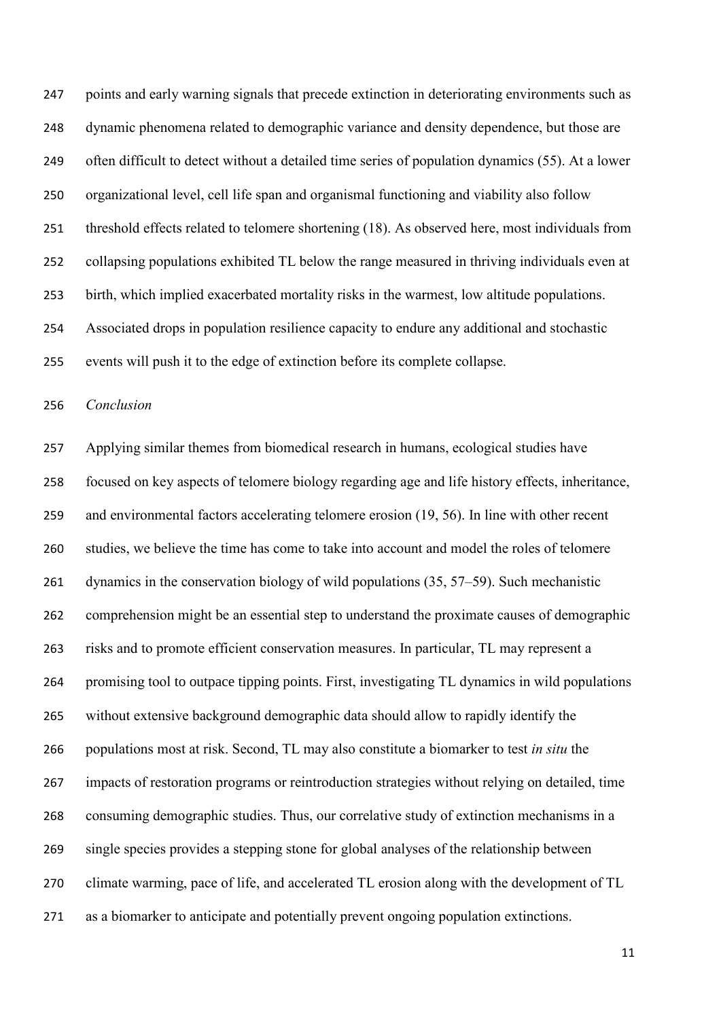points and early warning signals that precede extinction in deteriorating environments such as dynamic phenomena related to demographic variance and density dependence, but those are often difficult to detect without a detailed time series of population dynamics (55). At a lower organizational level, cell life span and organismal functioning and viability also follow threshold effects related to telomere shortening (18). As observed here, most individuals from collapsing populations exhibited TL below the range measured in thriving individuals even at birth, which implied exacerbated mortality risks in the warmest, low altitude populations. Associated drops in population resilience capacity to endure any additional and stochastic events will push it to the edge of extinction before its complete collapse.

*Conclusion*

 Applying similar themes from biomedical research in humans, ecological studies have focused on key aspects of telomere biology regarding age and life history effects, inheritance, and environmental factors accelerating telomere erosion (19, 56). In line with other recent studies, we believe the time has come to take into account and model the roles of telomere dynamics in the conservation biology of wild populations (35, 57–59). Such mechanistic comprehension might be an essential step to understand the proximate causes of demographic risks and to promote efficient conservation measures. In particular, TL may represent a promising tool to outpace tipping points. First, investigating TL dynamics in wild populations without extensive background demographic data should allow to rapidly identify the populations most at risk. Second, TL may also constitute a biomarker to test *in situ* the impacts of restoration programs or reintroduction strategies without relying on detailed, time consuming demographic studies. Thus, our correlative study of extinction mechanisms in a single species provides a stepping stone for global analyses of the relationship between climate warming, pace of life, and accelerated TL erosion along with the development of TL as a biomarker to anticipate and potentially prevent ongoing population extinctions.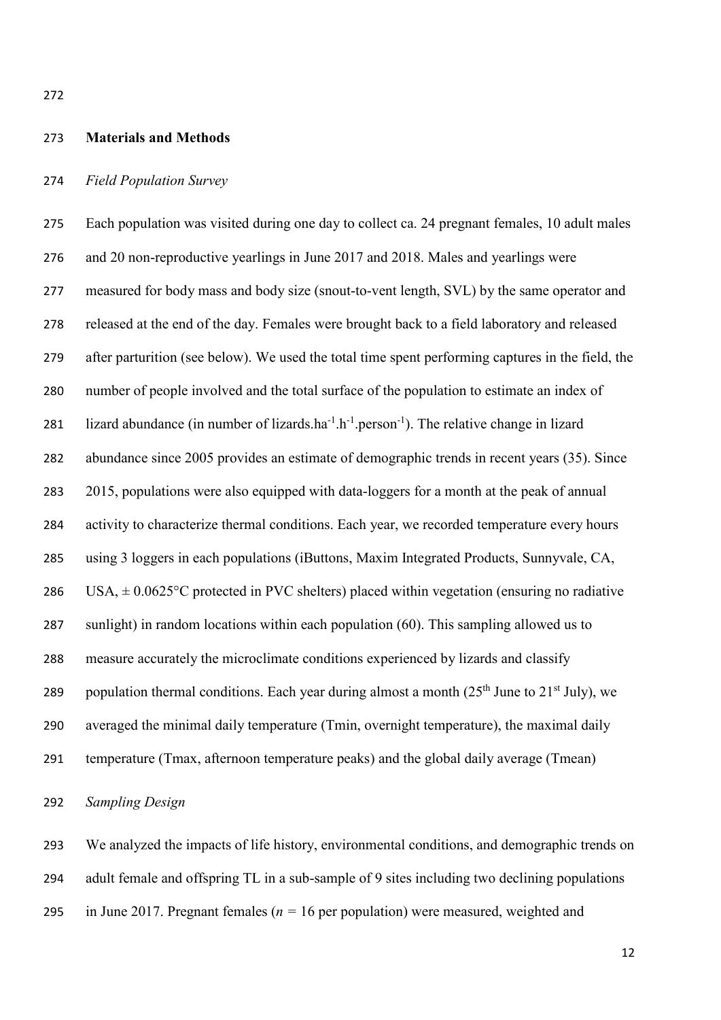#### **Materials and Methods**

## *Field Population Survey*

 Each population was visited during one day to collect ca. 24 pregnant females, 10 adult males and 20 non-reproductive yearlings in June 2017 and 2018. Males and yearlings were measured for body mass and body size (snout-to-vent length, SVL) by the same operator and released at the end of the day. Females were brought back to a field laboratory and released after parturition (see below). We used the total time spent performing captures in the field, the number of people involved and the total surface of the population to estimate an index of 281 lizard abundance (in number of lizards.ha<sup>-1</sup>.h<sup>-1</sup>.person<sup>-1</sup>). The relative change in lizard abundance since 2005 provides an estimate of demographic trends in recent years (35). Since 2015, populations were also equipped with data-loggers for a month at the peak of annual 284 activity to characterize thermal conditions. Each year, we recorded temperature every hours using 3 loggers in each populations (iButtons, Maxim Integrated Products, Sunnyvale, CA, 286 USA,  $\pm$  0.0625 °C protected in PVC shelters) placed within vegetation (ensuring no radiative sunlight) in random locations within each population (60). This sampling allowed us to measure accurately the microclimate conditions experienced by lizards and classify 289 population thermal conditions. Each year during almost a month  $(25<sup>th</sup>$  June to  $21<sup>st</sup>$  July), we averaged the minimal daily temperature (Tmin, overnight temperature), the maximal daily temperature (Tmax, afternoon temperature peaks) and the global daily average (Tmean)

# *Sampling Design*

 We analyzed the impacts of life history, environmental conditions, and demographic trends on adult female and offspring TL in a sub-sample of 9 sites including two declining populations in June 2017. Pregnant females (*n =* 16 per population) were measured, weighted and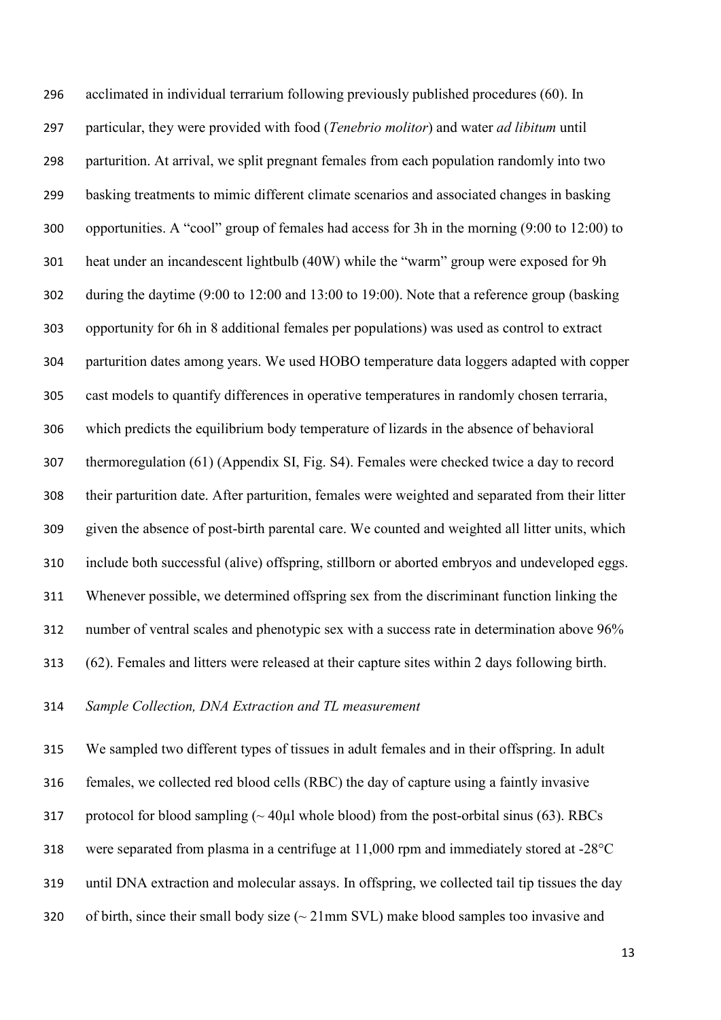acclimated in individual terrarium following previously published procedures (60). In particular, they were provided with food (*Tenebrio molitor*) and water *ad libitum* until parturition. At arrival, we split pregnant females from each population randomly into two basking treatments to mimic different climate scenarios and associated changes in basking opportunities. A "cool" group of females had access for 3h in the morning (9:00 to 12:00) to heat under an incandescent lightbulb (40W) while the "warm" group were exposed for 9h during the daytime (9:00 to 12:00 and 13:00 to 19:00). Note that a reference group (basking opportunity for 6h in 8 additional females per populations) was used as control to extract parturition dates among years. We used HOBO temperature data loggers adapted with copper cast models to quantify differences in operative temperatures in randomly chosen terraria, which predicts the equilibrium body temperature of lizards in the absence of behavioral thermoregulation (61) (Appendix SI, Fig. S4). Females were checked twice a day to record their parturition date. After parturition, females were weighted and separated from their litter given the absence of post-birth parental care. We counted and weighted all litter units, which include both successful (alive) offspring, stillborn or aborted embryos and undeveloped eggs. Whenever possible, we determined offspring sex from the discriminant function linking the number of ventral scales and phenotypic sex with a success rate in determination above 96% (62). Females and litters were released at their capture sites within 2 days following birth.

# *Sample Collection, DNA Extraction and TL measurement*

 We sampled two different types of tissues in adult females and in their offspring. In adult females, we collected red blood cells (RBC) the day of capture using a faintly invasive 317 protocol for blood sampling  $\sim$  40ul whole blood) from the post-orbital sinus (63). RBCs were separated from plasma in a centrifuge at 11,000 rpm and immediately stored at -28°C until DNA extraction and molecular assays. In offspring, we collected tail tip tissues the day 320 of birth, since their small body size  $\sim$  21mm SVL) make blood samples too invasive and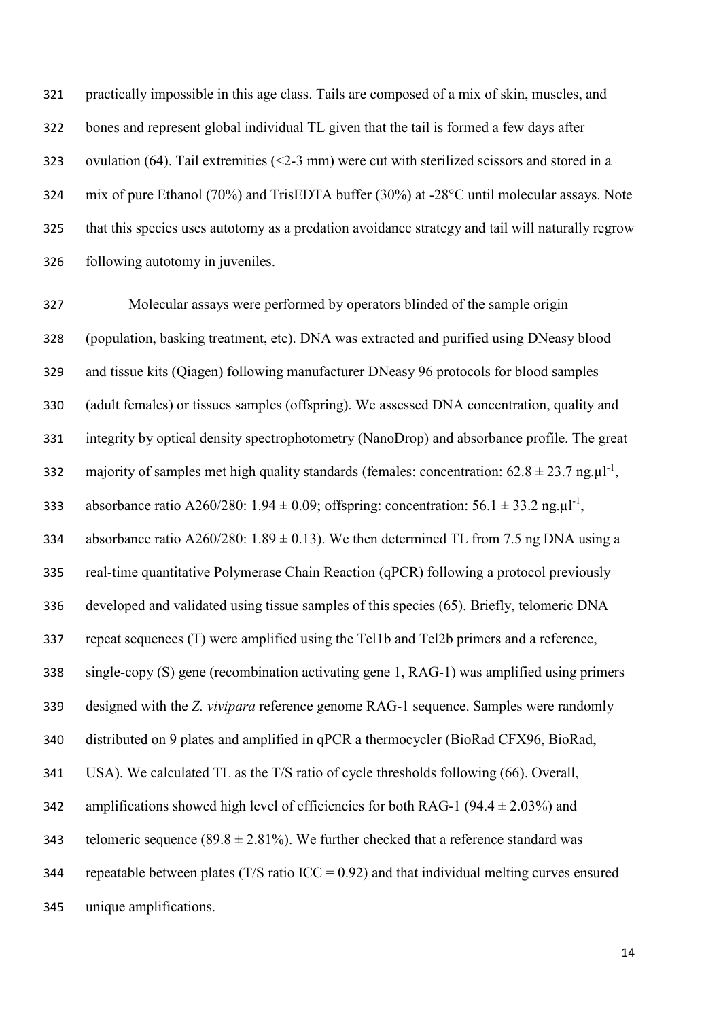practically impossible in this age class. Tails are composed of a mix of skin, muscles, and bones and represent global individual TL given that the tail is formed a few days after ovulation (64). Tail extremities (<2-3 mm) were cut with sterilized scissors and stored in a mix of pure Ethanol (70%) and TrisEDTA buffer (30%) at -28°C until molecular assays. Note that this species uses autotomy as a predation avoidance strategy and tail will naturally regrow following autotomy in juveniles.

 Molecular assays were performed by operators blinded of the sample origin (population, basking treatment, etc). DNA was extracted and purified using DNeasy blood and tissue kits (Qiagen) following manufacturer DNeasy 96 protocols for blood samples (adult females) or tissues samples (offspring). We assessed DNA concentration, quality and integrity by optical density spectrophotometry (NanoDrop) and absorbance profile. The great 332 majority of samples met high quality standards (females: concentration:  $62.8 \pm 23.7$  ng.ul<sup>-1</sup>. absorbance ratio A260/280: 1.94  $\pm$  0.09; offspring: concentration: 56.1  $\pm$  33.2 ng.ul<sup>-1</sup>, 334 absorbance ratio A260/280:  $1.89 \pm 0.13$ ). We then determined TL from 7.5 ng DNA using a real-time quantitative Polymerase Chain Reaction (qPCR) following a protocol previously developed and validated using tissue samples of this species (65). Briefly, telomeric DNA repeat sequences (T) were amplified using the Tel1b and Tel2b primers and a reference, single-copy (S) gene (recombination activating gene 1, RAG-1) was amplified using primers designed with the *Z. vivipara* reference genome RAG-1 sequence. Samples were randomly distributed on 9 plates and amplified in qPCR a thermocycler (BioRad CFX96, BioRad, USA). We calculated TL as the T/S ratio of cycle thresholds following (66). Overall, 342 amplifications showed high level of efficiencies for both RAG-1 (94.4  $\pm$  2.03%) and 343 telomeric sequence  $(89.8 \pm 2.81\%)$ . We further checked that a reference standard was 344 repeatable between plates ( $T/S$  ratio ICC = 0.92) and that individual melting curves ensured unique amplifications.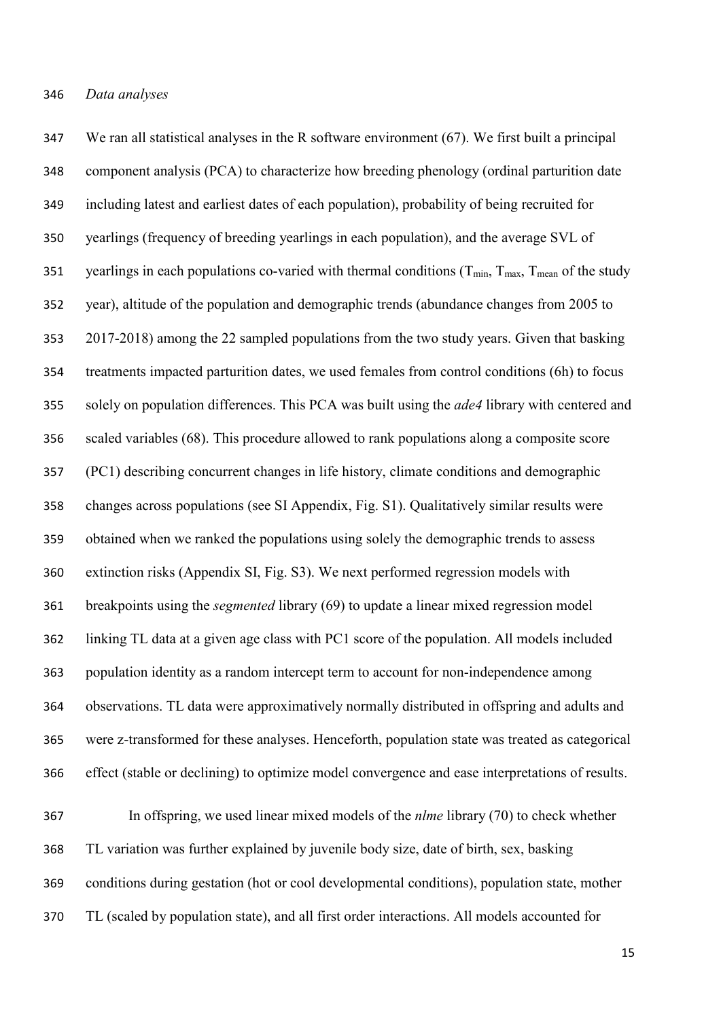We ran all statistical analyses in the R software environment (67). We first built a principal component analysis (PCA) to characterize how breeding phenology (ordinal parturition date including latest and earliest dates of each population), probability of being recruited for yearlings (frequency of breeding yearlings in each population), and the average SVL of 351 vearlings in each populations co-varied with thermal conditions ( $T_{min}$ ,  $T_{max}$ ,  $T_{mean}$  of the study year), altitude of the population and demographic trends (abundance changes from 2005 to 2017-2018) among the 22 sampled populations from the two study years. Given that basking treatments impacted parturition dates, we used females from control conditions (6h) to focus solely on population differences. This PCA was built using the *ade4* library with centered and scaled variables (68). This procedure allowed to rank populations along a composite score (PC1) describing concurrent changes in life history, climate conditions and demographic changes across populations (see SI Appendix, Fig. S1). Qualitatively similar results were obtained when we ranked the populations using solely the demographic trends to assess extinction risks (Appendix SI, Fig. S3). We next performed regression models with breakpoints using the *segmented* library (69) to update a linear mixed regression model linking TL data at a given age class with PC1 score of the population. All models included population identity as a random intercept term to account for non-independence among observations. TL data were approximatively normally distributed in offspring and adults and were z-transformed for these analyses. Henceforth, population state was treated as categorical effect (stable or declining) to optimize model convergence and ease interpretations of results. In offspring, we used linear mixed models of the *nlme* library (70) to check whether

 TL variation was further explained by juvenile body size, date of birth, sex, basking conditions during gestation (hot or cool developmental conditions), population state, mother TL (scaled by population state), and all first order interactions. All models accounted for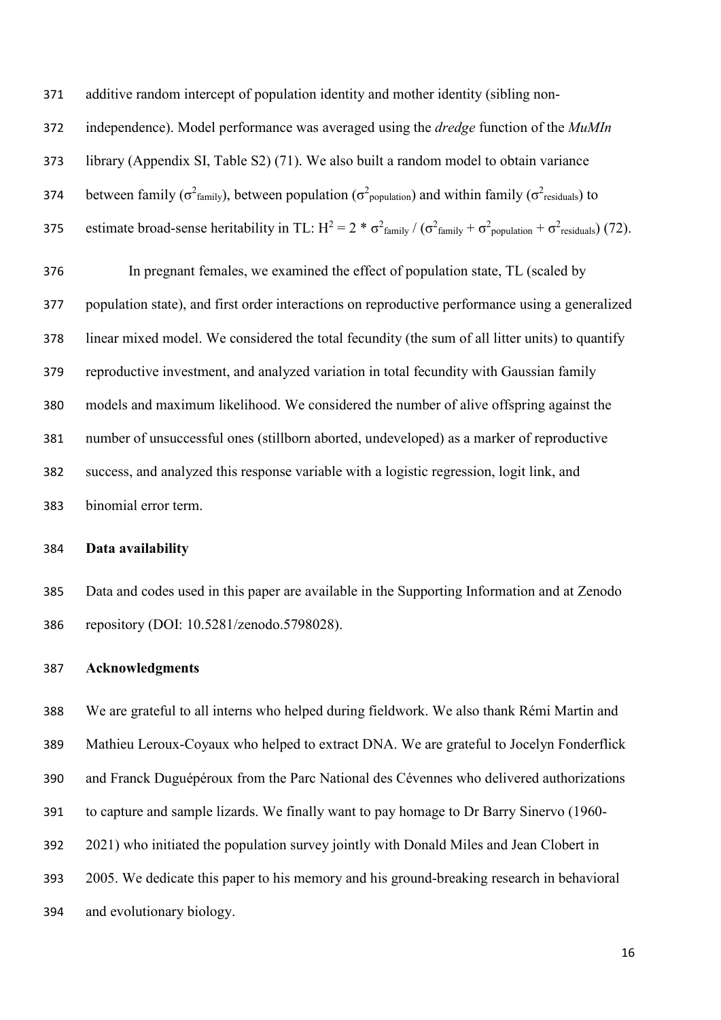additive random intercept of population identity and mother identity (sibling non- independence). Model performance was averaged using the *dredge* function of the *MuMIn* library (Appendix SI, Table S2) (71). We also built a random model to obtain variance 374 between family ( $\sigma^2$ <sub>family</sub>), between population ( $\sigma^2$ <sub>population</sub>) and within family ( $\sigma^2$ <sub>residuals</sub>) to 375 estimate broad-sense heritability in TL:  $H^2 = 2 * \sigma^2$  family /  $(\sigma^2$  family +  $\sigma^2$  population +  $\sigma^2$  residuals) (72).

 In pregnant females, we examined the effect of population state, TL (scaled by population state), and first order interactions on reproductive performance using a generalized linear mixed model. We considered the total fecundity (the sum of all litter units) to quantify reproductive investment, and analyzed variation in total fecundity with Gaussian family models and maximum likelihood. We considered the number of alive offspring against the number of unsuccessful ones (stillborn aborted, undeveloped) as a marker of reproductive success, and analyzed this response variable with a logistic regression, logit link, and binomial error term.

#### **Data availability**

 Data and codes used in this paper are available in the Supporting Information and at Zenodo repository (DOI: 10.5281/zenodo.5798028).

#### **Acknowledgments**

 We are grateful to all interns who helped during fieldwork. We also thank Rémi Martin and Mathieu Leroux-Coyaux who helped to extract DNA. We are grateful to Jocelyn Fonderflick and Franck Duguépéroux from the Parc National des Cévennes who delivered authorizations to capture and sample lizards. We finally want to pay homage to Dr Barry Sinervo (1960- 2021) who initiated the population survey jointly with Donald Miles and Jean Clobert in 2005. We dedicate this paper to his memory and his ground-breaking research in behavioral and evolutionary biology.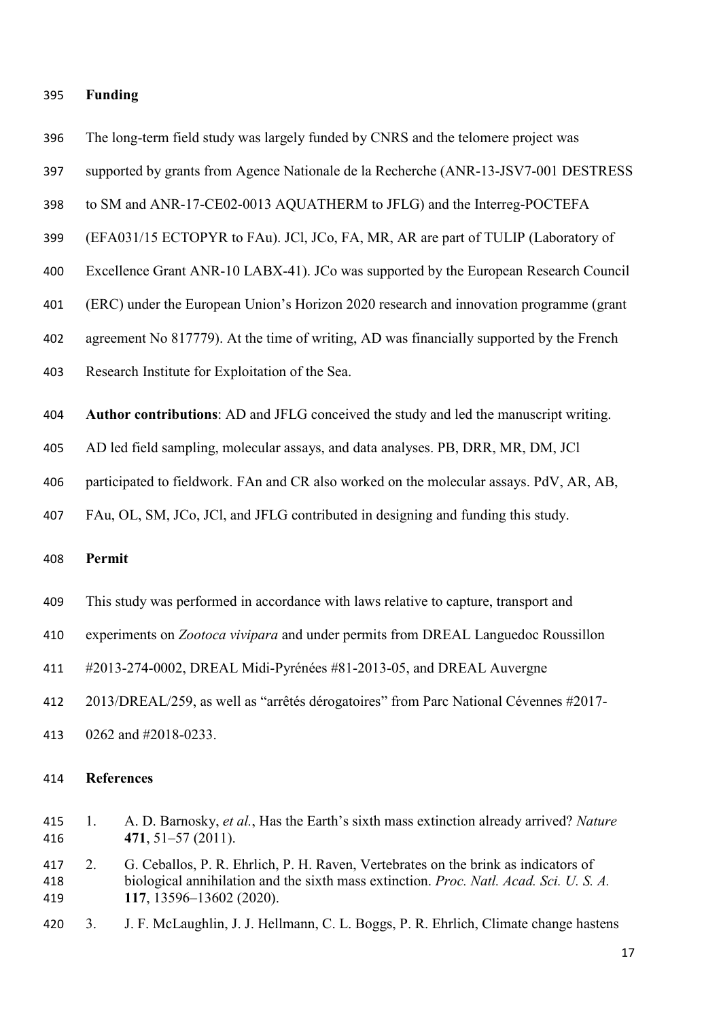### **Funding**

- The long-term field study was largely funded by CNRS and the telomere project was
- supported by grants from Agence Nationale de la Recherche (ANR-13-JSV7-001 DESTRESS
- to SM and ANR-17-CE02-0013 AQUATHERM to JFLG) and the Interreg-POCTEFA
- (EFA031/15 ECTOPYR to FAu). JCl, JCo, FA, MR, AR are part of TULIP (Laboratory of
- Excellence Grant ANR-10 LABX-41). JCo was supported by the European Research Council
- (ERC) under the European Union's Horizon 2020 research and innovation programme (grant
- agreement No 817779). At the time of writing, AD was financially supported by the French
- Research Institute for Exploitation of the Sea.
- **Author contributions**: AD and JFLG conceived the study and led the manuscript writing.
- AD led field sampling, molecular assays, and data analyses. PB, DRR, MR, DM, JCl
- participated to fieldwork. FAn and CR also worked on the molecular assays. PdV, AR, AB,
- FAu, OL, SM, JCo, JCl, and JFLG contributed in designing and funding this study.

# **Permit**

- This study was performed in accordance with laws relative to capture, transport and
- experiments on *Zootoca vivipara* and under permits from DREAL Languedoc Roussillon

#2013-274-0002, DREAL Midi-Pyrénées #81-2013-05, and DREAL Auvergne

- 2013/DREAL/259, as well as "arrêtés dérogatoires" from Parc National Cévennes #2017-
- 0262 and #2018-0233.

#### **References**

- 1. A. D. Barnosky, *et al.*, Has the Earth's sixth mass extinction already arrived? *Nature* **471**, 51–57 (2011).
- 2. G. Ceballos, P. R. Ehrlich, P. H. Raven, Vertebrates on the brink as indicators of biological annihilation and the sixth mass extinction. *Proc. Natl. Acad. Sci. U. S. A.* **117**, 13596–13602 (2020).
- 3. J. F. McLaughlin, J. J. Hellmann, C. L. Boggs, P. R. Ehrlich, Climate change hastens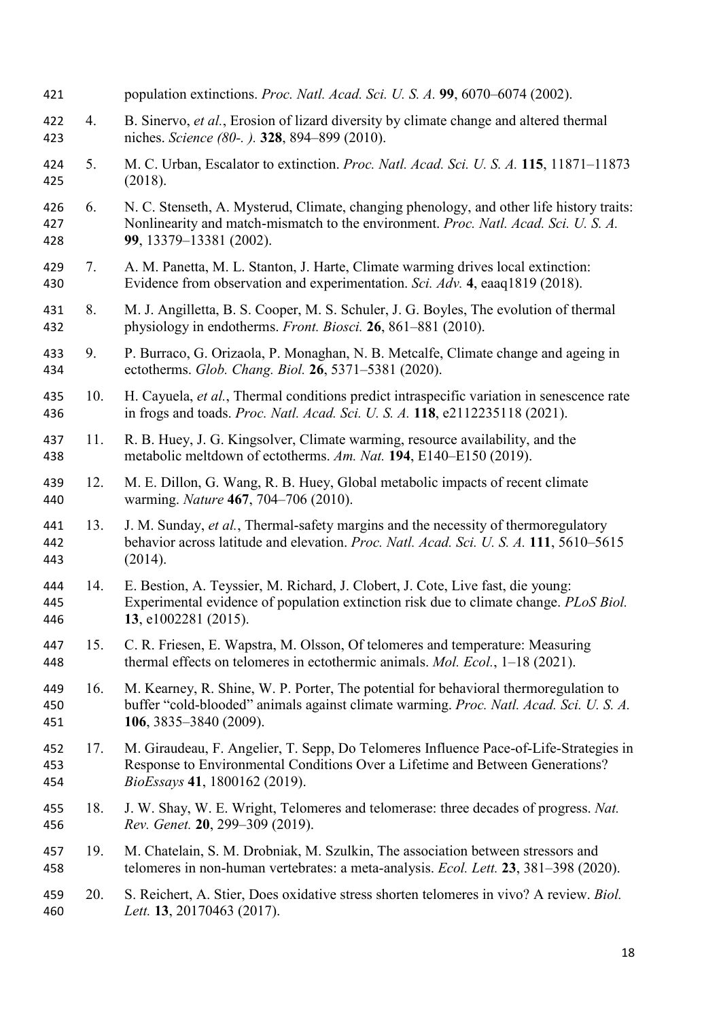| 421               |     | population extinctions. Proc. Natl. Acad. Sci. U. S. A. 99, 6070–6074 (2002).                                                                                                                              |
|-------------------|-----|------------------------------------------------------------------------------------------------------------------------------------------------------------------------------------------------------------|
| 422<br>423        | 4.  | B. Sinervo, et al., Erosion of lizard diversity by climate change and altered thermal<br>niches. Science (80-.). 328, 894-899 (2010).                                                                      |
| 424<br>425        | 5.  | M. C. Urban, Escalator to extinction. Proc. Natl. Acad. Sci. U. S. A. 115, 11871-11873<br>(2018).                                                                                                          |
| 426<br>427<br>428 | 6.  | N. C. Stenseth, A. Mysterud, Climate, changing phenology, and other life history traits:<br>Nonlinearity and match-mismatch to the environment. Proc. Natl. Acad. Sci. U. S. A.<br>99, 13379-13381 (2002). |
| 429<br>430        | 7.  | A. M. Panetta, M. L. Stanton, J. Harte, Climate warming drives local extinction:<br>Evidence from observation and experimentation. Sci. Adv. 4, eaaq1819 (2018).                                           |
| 431<br>432        | 8.  | M. J. Angilletta, B. S. Cooper, M. S. Schuler, J. G. Boyles, The evolution of thermal<br>physiology in endotherms. Front. Biosci. 26, 861–881 (2010).                                                      |
| 433<br>434        | 9.  | P. Burraco, G. Orizaola, P. Monaghan, N. B. Metcalfe, Climate change and ageing in<br>ectotherms. Glob. Chang. Biol. 26, 5371-5381 (2020).                                                                 |
| 435<br>436        | 10. | H. Cayuela, et al., Thermal conditions predict intraspecific variation in senescence rate<br>in frogs and toads. Proc. Natl. Acad. Sci. U. S. A. 118, e2112235118 (2021).                                  |
| 437<br>438        | 11. | R. B. Huey, J. G. Kingsolver, Climate warming, resource availability, and the<br>metabolic meltdown of ectotherms. Am. Nat. 194, E140-E150 (2019).                                                         |
| 439<br>440        | 12. | M. E. Dillon, G. Wang, R. B. Huey, Global metabolic impacts of recent climate<br>warming. Nature 467, 704-706 (2010).                                                                                      |
| 441<br>442<br>443 | 13. | J. M. Sunday, et al., Thermal-safety margins and the necessity of thermoregulatory<br>behavior across latitude and elevation. Proc. Natl. Acad. Sci. U. S. A. 111, 5610–5615<br>(2014).                    |
| 444<br>445<br>446 | 14. | E. Bestion, A. Teyssier, M. Richard, J. Clobert, J. Cote, Live fast, die young:<br>Experimental evidence of population extinction risk due to climate change. PLoS Biol.<br>13, e1002281 (2015).           |
| 447<br>448        | 15. | C. R. Friesen, E. Wapstra, M. Olsson, Of telomeres and temperature: Measuring<br>thermal effects on telomeres in ectothermic animals. Mol. Ecol., 1–18 (2021).                                             |
| 449<br>450<br>451 | 16. | M. Kearney, R. Shine, W. P. Porter, The potential for behavioral thermoregulation to<br>buffer "cold-blooded" animals against climate warming. Proc. Natl. Acad. Sci. U. S. A.<br>106, 3835-3840 (2009).   |
| 452<br>453<br>454 | 17. | M. Giraudeau, F. Angelier, T. Sepp, Do Telomeres Influence Pace-of-Life-Strategies in<br>Response to Environmental Conditions Over a Lifetime and Between Generations?<br>BioEssays 41, 1800162 (2019).    |
| 455<br>456        | 18. | J. W. Shay, W. E. Wright, Telomeres and telomerase: three decades of progress. Nat.<br>Rev. Genet. 20, 299-309 (2019).                                                                                     |
| 457<br>458        | 19. | M. Chatelain, S. M. Drobniak, M. Szulkin, The association between stressors and<br>telomeres in non-human vertebrates: a meta-analysis. Ecol. Lett. 23, 381-398 (2020).                                    |
| 459<br>460        | 20. | S. Reichert, A. Stier, Does oxidative stress shorten telomeres in vivo? A review. <i>Biol.</i><br>Lett. 13, 20170463 (2017).                                                                               |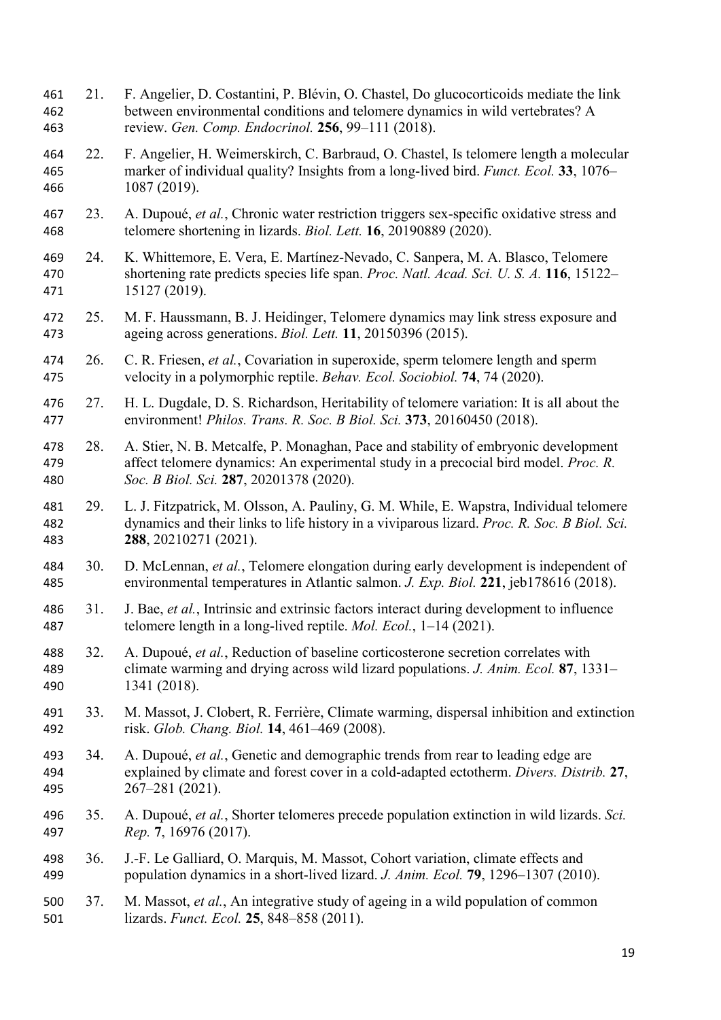21. F. Angelier, D. Costantini, P. Blévin, O. Chastel, Do glucocorticoids mediate the link between environmental conditions and telomere dynamics in wild vertebrates? A review. *Gen. Comp. Endocrinol.* **256**, 99–111 (2018). 22. F. Angelier, H. Weimerskirch, C. Barbraud, O. Chastel, Is telomere length a molecular marker of individual quality? Insights from a long-lived bird. *Funct. Ecol.* **33**, 1076– 1087 (2019). 23. A. Dupoué, *et al.*, Chronic water restriction triggers sex-specific oxidative stress and telomere shortening in lizards. *Biol. Lett.* **16**, 20190889 (2020). 24. K. Whittemore, E. Vera, E. Martínez-Nevado, C. Sanpera, M. A. Blasco, Telomere shortening rate predicts species life span. *Proc. Natl. Acad. Sci. U. S. A.* **116**, 15122– 15127 (2019). 25. M. F. Haussmann, B. J. Heidinger, Telomere dynamics may link stress exposure and ageing across generations. *Biol. Lett.* **11**, 20150396 (2015). 26. C. R. Friesen, *et al.*, Covariation in superoxide, sperm telomere length and sperm velocity in a polymorphic reptile. *Behav. Ecol. Sociobiol.* **74**, 74 (2020). 27. H. L. Dugdale, D. S. Richardson, Heritability of telomere variation: It is all about the environment! *Philos. Trans. R. Soc. B Biol. Sci.* **373**, 20160450 (2018). 28. A. Stier, N. B. Metcalfe, P. Monaghan, Pace and stability of embryonic development affect telomere dynamics: An experimental study in a precocial bird model. *Proc. R. Soc. B Biol. Sci.* **287**, 20201378 (2020). 29. L. J. Fitzpatrick, M. Olsson, A. Pauliny, G. M. While, E. Wapstra, Individual telomere dynamics and their links to life history in a viviparous lizard. *Proc. R. Soc. B Biol. Sci.* **288**, 20210271 (2021). 30. D. McLennan, *et al.*, Telomere elongation during early development is independent of environmental temperatures in Atlantic salmon. *J. Exp. Biol.* **221**, jeb178616 (2018). 31. J. Bae, *et al.*, Intrinsic and extrinsic factors interact during development to influence telomere length in a long‐lived reptile. *Mol. Ecol.*, 1–14 (2021). 32. A. Dupoué, *et al.*, Reduction of baseline corticosterone secretion correlates with climate warming and drying across wild lizard populations. *J. Anim. Ecol.* **87**, 1331– 1341 (2018). 33. M. Massot, J. Clobert, R. Ferrière, Climate warming, dispersal inhibition and extinction risk. *Glob. Chang. Biol.* **14**, 461–469 (2008). 34. A. Dupoué, *et al.*, Genetic and demographic trends from rear to leading edge are explained by climate and forest cover in a cold-adapted ectotherm. *Divers. Distrib.* **27**, 267–281 (2021). 35. A. Dupoué, *et al.*, Shorter telomeres precede population extinction in wild lizards. *Sci. Rep.* **7**, 16976 (2017). 36. J.-F. Le Galliard, O. Marquis, M. Massot, Cohort variation, climate effects and population dynamics in a short-lived lizard. *J. Anim. Ecol.* **79**, 1296–1307 (2010). 37. M. Massot, *et al.*, An integrative study of ageing in a wild population of common lizards. *Funct. Ecol.* **25**, 848–858 (2011).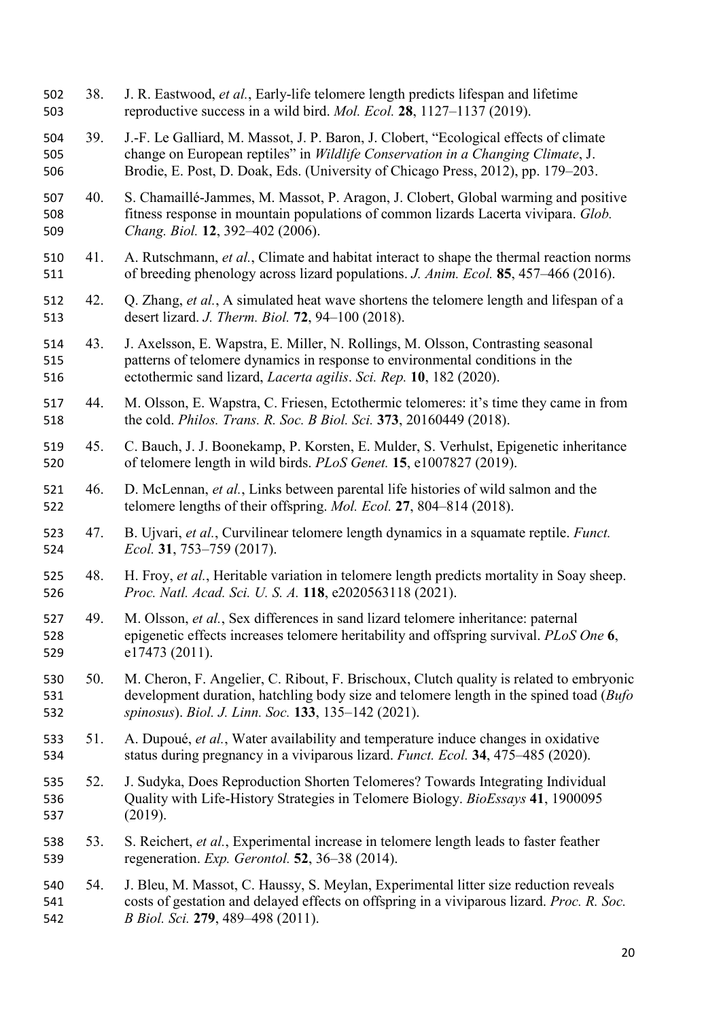- 38. J. R. Eastwood, *et al.*, Early-life telomere length predicts lifespan and lifetime reproductive success in a wild bird. *Mol. Ecol.* **28**, 1127–1137 (2019).
- 39. J.-F. Le Galliard, M. Massot, J. P. Baron, J. Clobert, "Ecological effects of climate change on European reptiles" in *Wildlife Conservation in a Changing Climate*, J. Brodie, E. Post, D. Doak, Eds. (University of Chicago Press, 2012), pp. 179–203.

 40. S. Chamaillé-Jammes, M. Massot, P. Aragon, J. Clobert, Global warming and positive fitness response in mountain populations of common lizards Lacerta vivipara. *Glob. Chang. Biol.* **12**, 392–402 (2006).

- 41. A. Rutschmann, *et al.*, Climate and habitat interact to shape the thermal reaction norms of breeding phenology across lizard populations. *J. Anim. Ecol.* **85**, 457–466 (2016).
- 42. Q. Zhang, *et al.*, A simulated heat wave shortens the telomere length and lifespan of a desert lizard. *J. Therm. Biol.* **72**, 94–100 (2018).
- 43. J. Axelsson, E. Wapstra, E. Miller, N. Rollings, M. Olsson, Contrasting seasonal patterns of telomere dynamics in response to environmental conditions in the ectothermic sand lizard, *Lacerta agilis*. *Sci. Rep.* **10**, 182 (2020).
- 44. M. Olsson, E. Wapstra, C. Friesen, Ectothermic telomeres: it's time they came in from the cold. *Philos. Trans. R. Soc. B Biol. Sci.* **373**, 20160449 (2018).
- 45. C. Bauch, J. J. Boonekamp, P. Korsten, E. Mulder, S. Verhulst, Epigenetic inheritance of telomere length in wild birds. *PLoS Genet.* **15**, e1007827 (2019).
- 46. D. McLennan, *et al.*, Links between parental life histories of wild salmon and the telomere lengths of their offspring. *Mol. Ecol.* **27**, 804–814 (2018).
- 47. B. Ujvari, *et al.*, Curvilinear telomere length dynamics in a squamate reptile. *Funct. Ecol.* **31**, 753–759 (2017).
- 48. H. Froy, *et al.*, Heritable variation in telomere length predicts mortality in Soay sheep. *Proc. Natl. Acad. Sci. U. S. A.* **118**, e2020563118 (2021).
- 49. M. Olsson, *et al.*, Sex differences in sand lizard telomere inheritance: paternal epigenetic effects increases telomere heritability and offspring survival. *PLoS One* **6**, e17473 (2011).
- 50. M. Cheron, F. Angelier, C. Ribout, F. Brischoux, Clutch quality is related to embryonic development duration, hatchling body size and telomere length in the spined toad (*Bufo spinosus*). *Biol. J. Linn. Soc.* **133**, 135–142 (2021).
- 51. A. Dupoué, *et al.*, Water availability and temperature induce changes in oxidative status during pregnancy in a viviparous lizard. *Funct. Ecol.* **34**, 475–485 (2020).
- 52. J. Sudyka, Does Reproduction Shorten Telomeres? Towards Integrating Individual Quality with Life-History Strategies in Telomere Biology. *BioEssays* **41**, 1900095 (2019).
- 53. S. Reichert, *et al.*, Experimental increase in telomere length leads to faster feather regeneration. *Exp. Gerontol.* **52**, 36–38 (2014).

 54. J. Bleu, M. Massot, C. Haussy, S. Meylan, Experimental litter size reduction reveals costs of gestation and delayed effects on offspring in a viviparous lizard. *Proc. R. Soc. B Biol. Sci.* **279**, 489–498 (2011).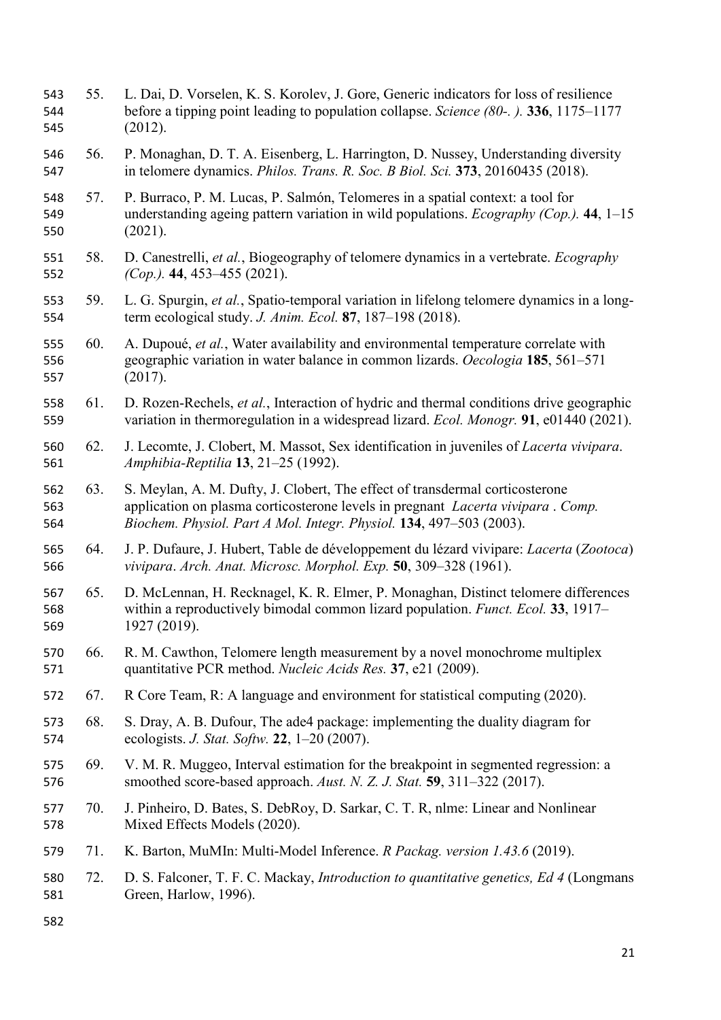- 55. L. Dai, D. Vorselen, K. S. Korolev, J. Gore, Generic indicators for loss of resilience before a tipping point leading to population collapse. *Science (80-. ).* **336**, 1175–1177 (2012). 56. P. Monaghan, D. T. A. Eisenberg, L. Harrington, D. Nussey, Understanding diversity in telomere dynamics. *Philos. Trans. R. Soc. B Biol. Sci.* **373**, 20160435 (2018). 57. P. Burraco, P. M. Lucas, P. Salmón, Telomeres in a spatial context: a tool for understanding ageing pattern variation in wild populations. *Ecography (Cop.).* **44**, 1–15 (2021). 58. D. Canestrelli, *et al.*, Biogeography of telomere dynamics in a vertebrate. *Ecography (Cop.).* **44**, 453–455 (2021). 59. L. G. Spurgin, *et al.*, Spatio-temporal variation in lifelong telomere dynamics in a long- term ecological study. *J. Anim. Ecol.* **87**, 187–198 (2018). 60. A. Dupoué, *et al.*, Water availability and environmental temperature correlate with geographic variation in water balance in common lizards. *Oecologia* **185**, 561–571 (2017). 61. D. Rozen-Rechels, *et al.*, Interaction of hydric and thermal conditions drive geographic variation in thermoregulation in a widespread lizard. *Ecol. Monogr.* **91**, e01440 (2021). 62. J. Lecomte, J. Clobert, M. Massot, Sex identification in juveniles of *Lacerta vivipara*. *Amphibia-Reptilia* **13**, 21–25 (1992). 63. S. Meylan, A. M. Dufty, J. Clobert, The effect of transdermal corticosterone application on plasma corticosterone levels in pregnant *Lacerta vivipara* . *Comp. Biochem. Physiol. Part A Mol. Integr. Physiol.* **134**, 497–503 (2003). 64. J. P. Dufaure, J. Hubert, Table de développement du lézard vivipare: *Lacerta* (*Zootoca*) *vivipara*. *Arch. Anat. Microsc. Morphol. Exp.* **50**, 309–328 (1961). 65. D. McLennan, H. Recknagel, K. R. Elmer, P. Monaghan, Distinct telomere differences within a reproductively bimodal common lizard population. *Funct. Ecol.* **33**, 1917– 1927 (2019). 66. R. M. Cawthon, Telomere length measurement by a novel monochrome multiplex quantitative PCR method. *Nucleic Acids Res.* **37**, e21 (2009). 67. R Core Team, R: A language and environment for statistical computing (2020). 68. S. Dray, A. B. Dufour, The ade4 package: implementing the duality diagram for ecologists. *J. Stat. Softw.* **22**, 1–20 (2007). 69. V. M. R. Muggeo, Interval estimation for the breakpoint in segmented regression: a smoothed score-based approach. *Aust. N. Z. J. Stat.* **59**, 311–322 (2017). 70. J. Pinheiro, D. Bates, S. DebRoy, D. Sarkar, C. T. R, nlme: Linear and Nonlinear Mixed Effects Models (2020). 71. K. Barton, MuMIn: Multi-Model Inference. *R Packag. version 1.43.6* (2019). 72. D. S. Falconer, T. F. C. Mackay, *Introduction to quantitative genetics, Ed 4* (Longmans Green, Harlow, 1996).
-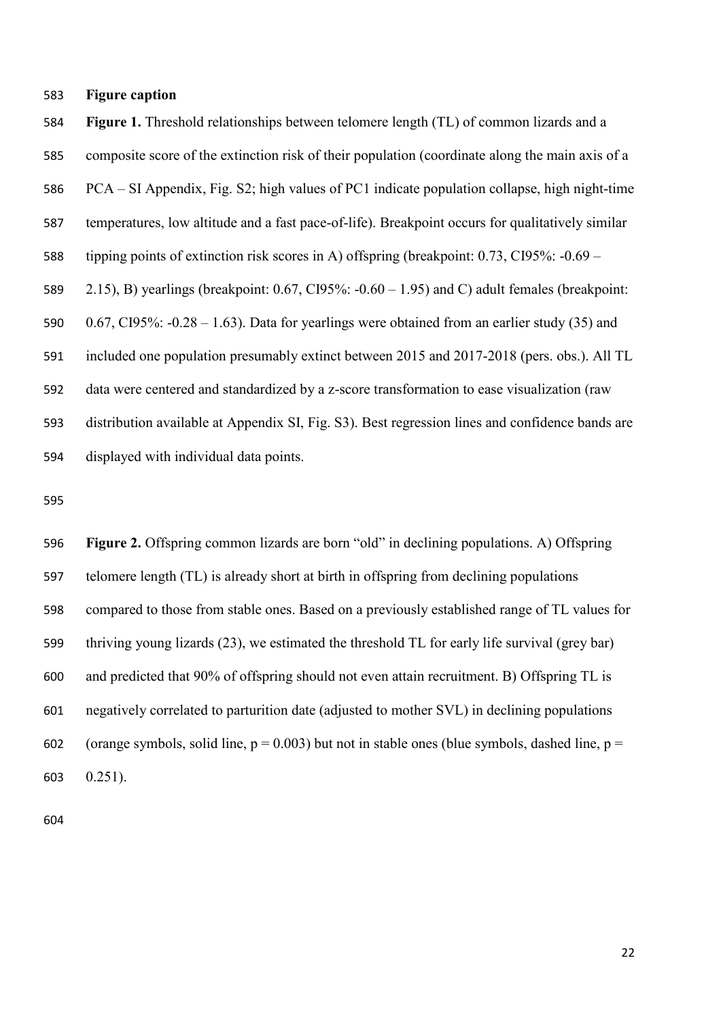## **Figure caption**

 **Figure 1.** Threshold relationships between telomere length (TL) of common lizards and a composite score of the extinction risk of their population (coordinate along the main axis of a PCA – SI Appendix, Fig. S2; high values of PC1 indicate population collapse, high night-time temperatures, low altitude and a fast pace-of-life). Breakpoint occurs for qualitatively similar tipping points of extinction risk scores in A) offspring (breakpoint: 0.73, CI95%: -0.69 – 2.15), B) yearlings (breakpoint: 0.67, CI95%: -0.60 – 1.95) and C) adult females (breakpoint: 590 0.67, CI95%:  $-0.28 - 1.63$ ). Data for yearlings were obtained from an earlier study (35) and included one population presumably extinct between 2015 and 2017-2018 (pers. obs.). All TL data were centered and standardized by a z-score transformation to ease visualization (raw distribution available at Appendix SI, Fig. S3). Best regression lines and confidence bands are displayed with individual data points.

 **Figure 2.** Offspring common lizards are born "old" in declining populations. A) Offspring telomere length (TL) is already short at birth in offspring from declining populations compared to those from stable ones. Based on a previously established range of TL values for thriving young lizards (23), we estimated the threshold TL for early life survival (grey bar) and predicted that 90% of offspring should not even attain recruitment. B) Offspring TL is negatively correlated to parturition date (adjusted to mother SVL) in declining populations 602 (orange symbols, solid line,  $p = 0.003$ ) but not in stable ones (blue symbols, dashed line,  $p =$ 0.251).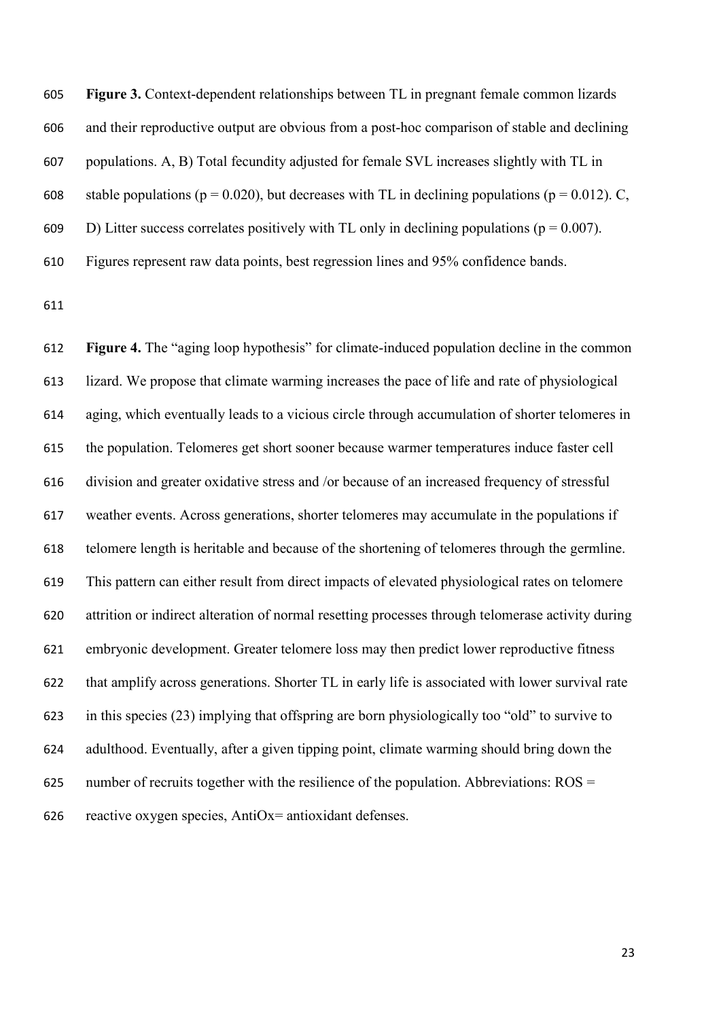**Figure 3.** Context-dependent relationships between TL in pregnant female common lizards and their reproductive output are obvious from a post-hoc comparison of stable and declining populations. A, B) Total fecundity adjusted for female SVL increases slightly with TL in 608 stable populations ( $p = 0.020$ ), but decreases with TL in declining populations ( $p = 0.012$ ). C, 609 D) Litter success correlates positively with TL only in declining populations ( $p = 0.007$ ). Figures represent raw data points, best regression lines and 95% confidence bands.

 **Figure 4.** The "aging loop hypothesis" for climate-induced population decline in the common lizard. We propose that climate warming increases the pace of life and rate of physiological aging, which eventually leads to a vicious circle through accumulation of shorter telomeres in the population. Telomeres get short sooner because warmer temperatures induce faster cell division and greater oxidative stress and /or because of an increased frequency of stressful weather events. Across generations, shorter telomeres may accumulate in the populations if telomere length is heritable and because of the shortening of telomeres through the germline. This pattern can either result from direct impacts of elevated physiological rates on telomere attrition or indirect alteration of normal resetting processes through telomerase activity during embryonic development. Greater telomere loss may then predict lower reproductive fitness that amplify across generations. Shorter TL in early life is associated with lower survival rate in this species (23) implying that offspring are born physiologically too "old" to survive to adulthood. Eventually, after a given tipping point, climate warming should bring down the number of recruits together with the resilience of the population. Abbreviations: ROS = 626 reactive oxygen species, AntiOx= antioxidant defenses.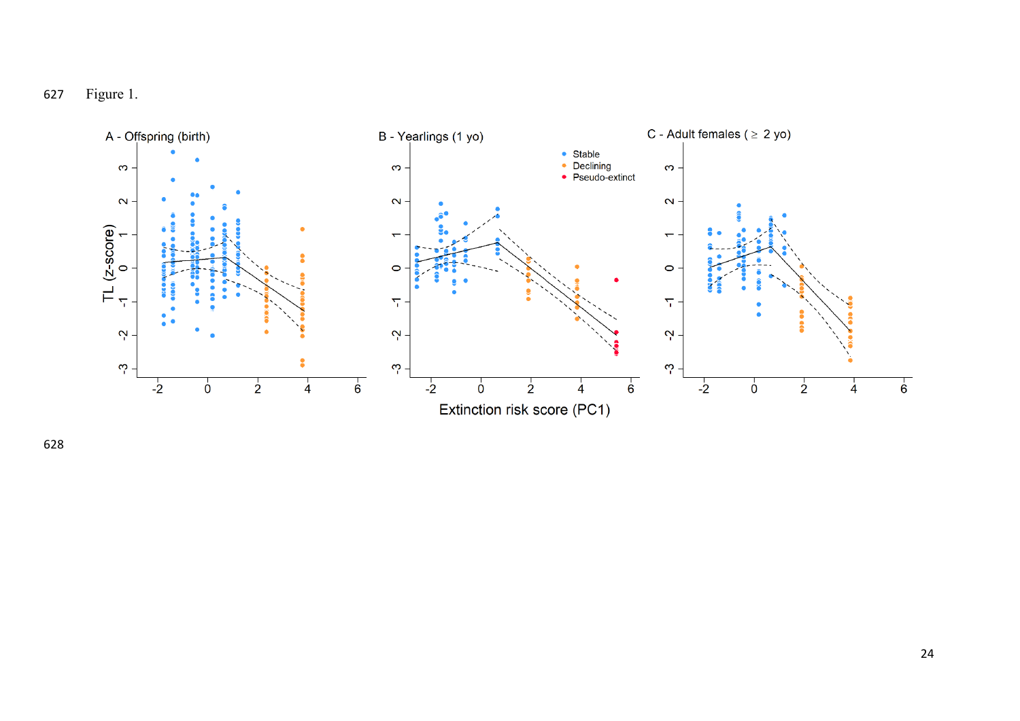

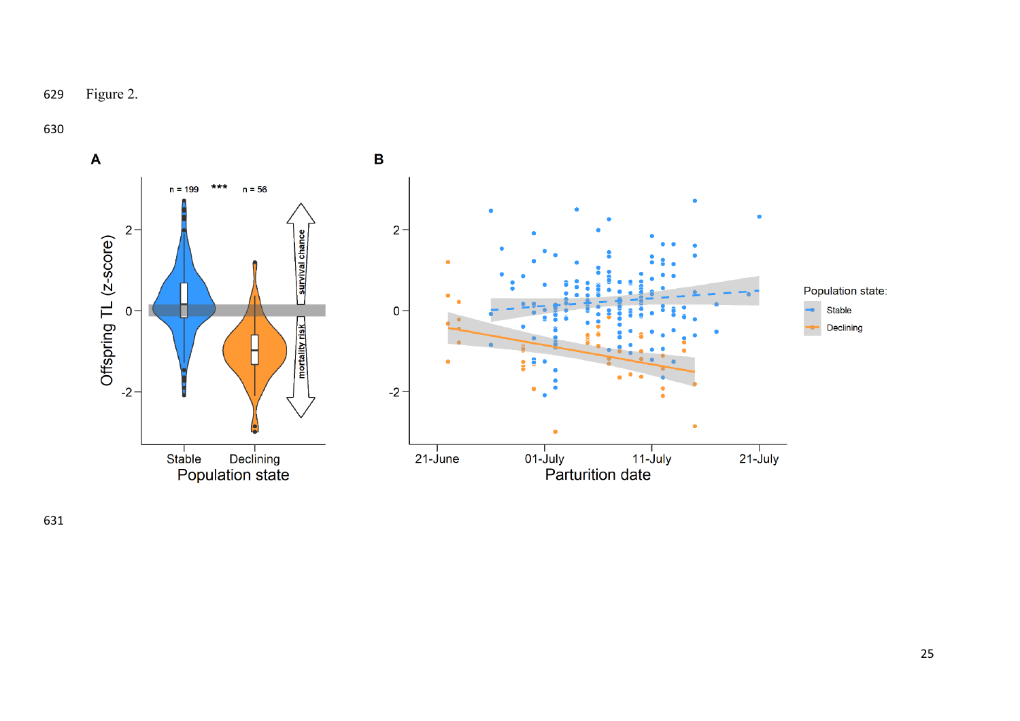Figure 2.

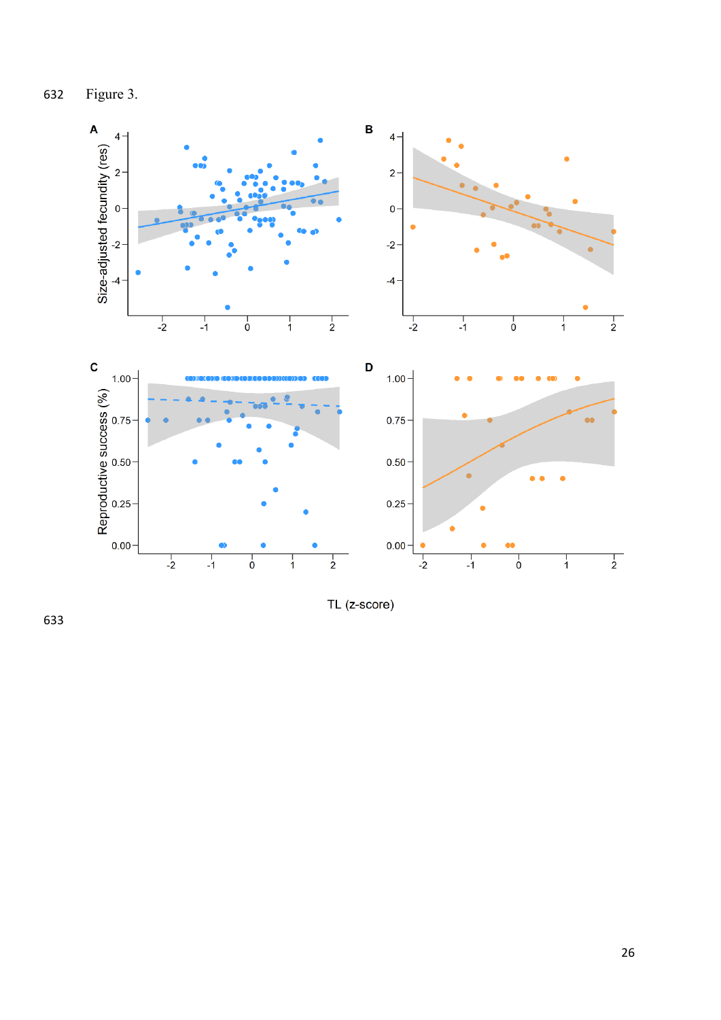

TL (z-score)